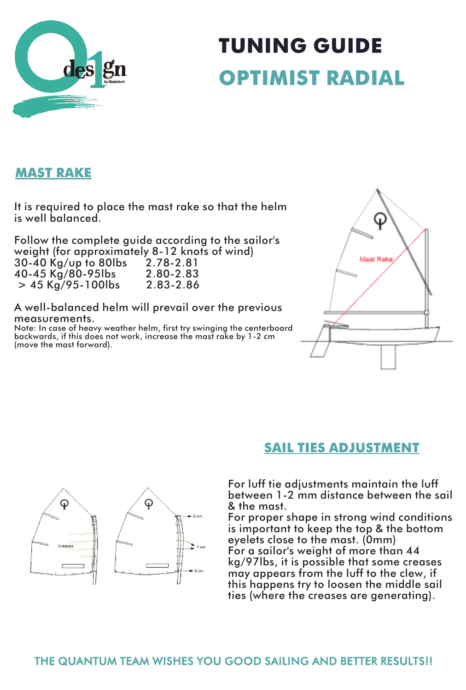

# **TUNING GUIDE OPTIMIST RADIAL**

## **MAST RAKE**

It is required to place the mast rake so that the helm is well balanced.

Follow the complete guide according to the sailor's weight (for approximately 8-12 knots of wind)<br>30-40 Kg/up to 80lbs 2.78-2.81 30-40 Kg/up to 80lbs 2.78-2.81 40-45 Kg/80-95lbs 2.80-2.83  $> 45$  Kg/95-100lbs

A well-balanced helm will prevail over the previous measurements.

Note: In case of heavy weather helm, first try swinging the centerboard backwards, if this does not work, increase the mast rake by 1-2 cm (move the mast forward).



#### **SAIL TIES ADJUSTMENT**

For luff tie adjustments maintain the luff between 1-2 mm distance between the sail & the mast.

For proper shape in strong wind conditions is important to keep the top & the bottom eyelets close to the mast. (0mm) For a sailor's weight of more than 44 kg/97lbs, it is possible that some creases may appears from the luff to the clew, if this happens try to loosen the middle sail ties (where the creases are generating).